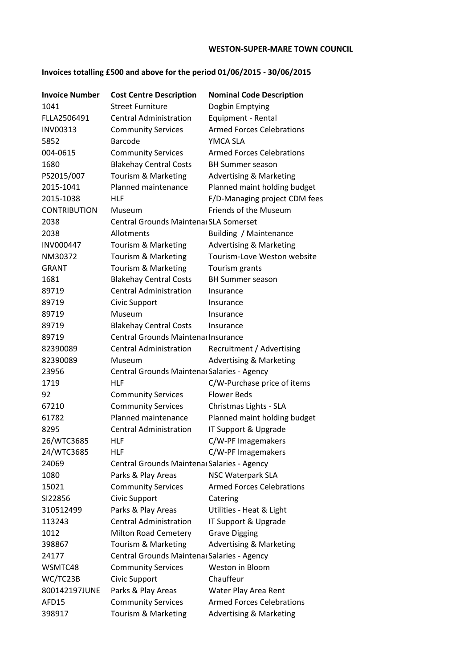## **WESTON-SUPER-MARE TOWN COUNCIL**

## **Invoices totalling £500 and above for the period 01/06/2015 - 30/06/2015**

| <b>Invoice Number</b> | <b>Cost Centre Description</b>              | <b>Nominal Code Description</b>    |
|-----------------------|---------------------------------------------|------------------------------------|
| 1041                  | <b>Street Furniture</b>                     | Dogbin Emptying                    |
| FLLA2506491           | <b>Central Administration</b>               | Equipment - Rental                 |
| INV00313              | <b>Community Services</b>                   | <b>Armed Forces Celebrations</b>   |
| 5852                  | <b>Barcode</b>                              | YMCA SLA                           |
| 004-0615              | <b>Community Services</b>                   | <b>Armed Forces Celebrations</b>   |
| 1680                  | <b>Blakehay Central Costs</b>               | <b>BH Summer season</b>            |
| PS2015/007            | Tourism & Marketing                         | <b>Advertising &amp; Marketing</b> |
| 2015-1041             | Planned maintenance                         | Planned maint holding budget       |
| 2015-1038             | <b>HLF</b>                                  | F/D-Managing project CDM fees      |
| <b>CONTRIBUTION</b>   | Museum                                      | Friends of the Museum              |
| 2038                  | Central Grounds Maintenar SLA Somerset      |                                    |
| 2038                  | Allotments                                  | Building / Maintenance             |
| <b>INV000447</b>      | Tourism & Marketing                         | <b>Advertising &amp; Marketing</b> |
| NM30372               | Tourism & Marketing                         | Tourism-Love Weston website        |
| <b>GRANT</b>          | Tourism & Marketing                         | Tourism grants                     |
| 1681                  | <b>Blakehay Central Costs</b>               | <b>BH Summer season</b>            |
| 89719                 | <b>Central Administration</b>               | Insurance                          |
| 89719                 | Civic Support                               | Insurance                          |
| 89719                 | Museum                                      | Insurance                          |
| 89719                 | <b>Blakehay Central Costs</b>               | Insurance                          |
| 89719                 | Central Grounds Maintenar Insurance         |                                    |
| 82390089              | <b>Central Administration</b>               | Recruitment / Advertising          |
| 82390089              | Museum                                      | <b>Advertising &amp; Marketing</b> |
| 23956                 | Central Grounds Maintenar Salaries - Agency |                                    |
| 1719                  | <b>HLF</b>                                  | C/W-Purchase price of items        |
| 92                    | <b>Community Services</b>                   | <b>Flower Beds</b>                 |
| 67210                 | <b>Community Services</b>                   | Christmas Lights - SLA             |
| 61782                 | Planned maintenance                         | Planned maint holding budget       |
| 8295                  | <b>Central Administration</b>               | IT Support & Upgrade               |
| 26/WTC3685            | HLF                                         | C/W-PF Imagemakers                 |
| 24/WTC3685            | HLF                                         | C/W-PF Imagemakers                 |
| 24069                 | Central Grounds Maintenar Salaries - Agency |                                    |
| 1080                  | Parks & Play Areas                          | <b>NSC Waterpark SLA</b>           |
| 15021                 | <b>Community Services</b>                   | <b>Armed Forces Celebrations</b>   |
| SI22856               | Civic Support                               | Catering                           |
| 310512499             | Parks & Play Areas                          | Utilities - Heat & Light           |
| 113243                | <b>Central Administration</b>               | IT Support & Upgrade               |
| 1012                  | Milton Road Cemetery                        | <b>Grave Digging</b>               |
| 398867                | Tourism & Marketing                         | <b>Advertising &amp; Marketing</b> |
| 24177                 | Central Grounds Maintenar Salaries - Agency |                                    |
| WSMTC48               | <b>Community Services</b>                   | Weston in Bloom                    |
| WC/TC23B              | Civic Support                               | Chauffeur                          |
| 800142197JUNE         | Parks & Play Areas                          | Water Play Area Rent               |
| AFD15                 | <b>Community Services</b>                   | <b>Armed Forces Celebrations</b>   |
| 398917                | Tourism & Marketing                         | <b>Advertising &amp; Marketing</b> |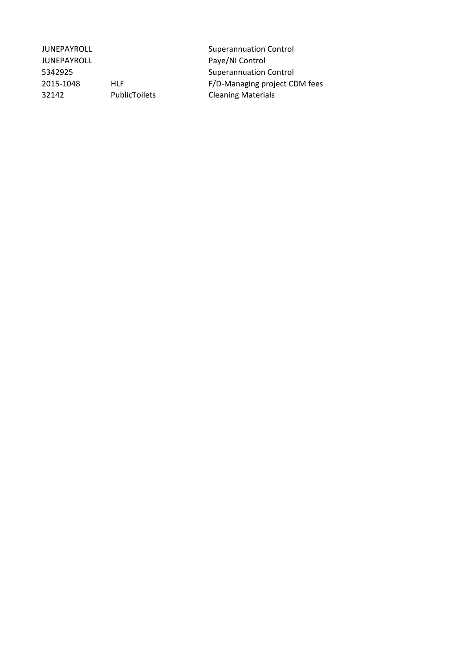JUNEPAYROLL **Superannuation Control** JUNEPAYROLL **Paye/NI Control** 5342925 Superannuation Control 32142 PublicToilets Cleaning Materials

2015-1048 HLF HERE F/D-Managing project CDM fees<br>32142 PublicToilets Cleaning Materials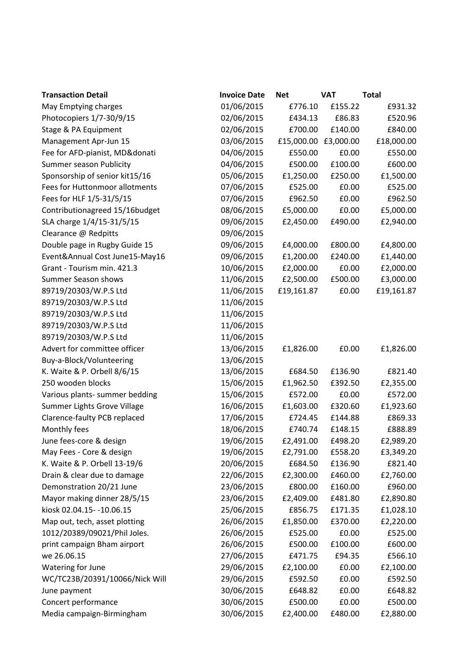| <b>Transaction Detail</b>      | <b>Invoice Date</b> | <b>Net</b>           | <b>VAT</b> | <b>Total</b> |
|--------------------------------|---------------------|----------------------|------------|--------------|
| May Emptying charges           | 01/06/2015          | £776.10              | £155.22    | £931.32      |
| Photocopiers 1/7-30/9/15       | 02/06/2015          | £434.13              | £86.83     | £520.96      |
| Stage & PA Equipment           | 02/06/2015          | £700.00              | £140.00    | £840.00      |
| Management Apr-Jun 15          | 03/06/2015          | £15,000.00 £3,000.00 |            | £18,000.00   |
| Fee for AFD-pianist, MD&donati | 04/06/2015          | £550.00              | £0.00      | £550.00      |
| <b>Summer season Publicity</b> | 04/06/2015          | £500.00              | £100.00    | £600.00      |
| Sponsorship of senior kit15/16 | 05/06/2015          | £1,250.00            | £250.00    | £1,500.00    |
| Fees for Huttonmoor allotments | 07/06/2015          | £525.00              | £0.00      | £525.00      |
| Fees for HLF 1/5-31/5/15       | 07/06/2015          | £962.50              | £0.00      | £962.50      |
| Contributionagreed 15/16budget | 08/06/2015          | £5,000.00            | £0.00      | £5,000.00    |
| SLA charge 1/4/15-31/5/15      | 09/06/2015          | £2,450.00            | £490.00    | £2,940.00    |
| Clearance @ Redpitts           | 09/06/2015          |                      |            |              |
| Double page in Rugby Guide 15  | 09/06/2015          | £4,000.00            | £800.00    | £4,800.00    |
| Event&Annual Cost June15-May16 | 09/06/2015          | £1,200.00            | £240.00    | £1,440.00    |
| Grant - Tourism min. 421.3     | 10/06/2015          | £2,000.00            | £0.00      | £2,000.00    |
| <b>Summer Season shows</b>     | 11/06/2015          | £2,500.00            | £500.00    | £3,000.00    |
| 89719/20303/W.P.S Ltd          | 11/06/2015          | £19,161.87           | £0.00      | £19,161.87   |
| 89719/20303/W.P.S Ltd          | 11/06/2015          |                      |            |              |
| 89719/20303/W.P.S Ltd          | 11/06/2015          |                      |            |              |
| 89719/20303/W.P.S Ltd          | 11/06/2015          |                      |            |              |
| 89719/20303/W.P.S Ltd          | 11/06/2015          |                      |            |              |
| Advert for committee officer   | 13/06/2015          | £1,826.00            | £0.00      | £1,826.00    |
| Buy-a-Block/Volunteering       | 13/06/2015          |                      |            |              |
| K. Waite & P. Orbell 8/6/15    | 13/06/2015          | £684.50              | £136.90    | £821.40      |
| 250 wooden blocks              | 15/06/2015          | £1,962.50            | £392.50    | £2,355.00    |
| Various plants- summer bedding | 15/06/2015          | £572.00              | £0.00      | £572.00      |
| Summer Lights Grove Village    | 16/06/2015          | £1,603.00            | £320.60    | £1,923.60    |
| Clarence-faulty PCB replaced   | 17/06/2015          | £724.45              | £144.88    | £869.33      |
| Monthly fees                   | 18/06/2015          | £740.74              | £148.15    | £888.89      |
| June fees-core & design        | 19/06/2015          | £2,491.00            | £498.20    | £2,989.20    |
| May Fees - Core & design       | 19/06/2015          | £2,791.00            | £558.20    | £3,349.20    |
| K. Waite & P. Orbell 13-19/6   | 20/06/2015          | £684.50              | £136.90    | £821.40      |
| Drain & clear due to damage    | 22/06/2015          | £2,300.00            | £460.00    | £2,760.00    |
| Demonstration 20/21 June       | 23/06/2015          | £800.00              | £160.00    | £960.00      |
| Mayor making dinner 28/5/15    | 23/06/2015          | £2,409.00            | £481.80    | £2,890.80    |
| kiosk 02.04.15 - - 10.06.15    | 25/06/2015          | £856.75              | £171.35    | £1,028.10    |
| Map out, tech, asset plotting  | 26/06/2015          | £1,850.00            | £370.00    | £2,220.00    |
| 1012/20389/09021/Phil Joles.   | 26/06/2015          | £525.00              | £0.00      | £525.00      |
| print campaign Bham airport    | 26/06/2015          | £500.00              | £100.00    | £600.00      |
| we 26.06.15                    | 27/06/2015          | £471.75              | £94.35     | £566.10      |
| Watering for June              | 29/06/2015          | £2,100.00            | £0.00      | £2,100.00    |
| WC/TC23B/20391/10066/Nick Will | 29/06/2015          | £592.50              | £0.00      | £592.50      |
| June payment                   | 30/06/2015          | £648.82              | £0.00      | £648.82      |
| Concert performance            | 30/06/2015          | £500.00              | £0.00      | £500.00      |
| Media campaign-Birmingham      | 30/06/2015          | £2,400.00            | £480.00    | £2,880.00    |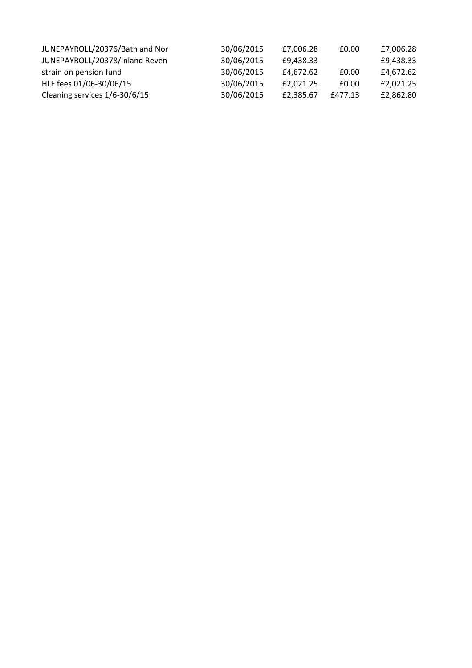| JUNEPAYROLL/20376/Bath and Nor | 30/06/2015 | £7,006.28 | £0.00   | £7,006.28 |
|--------------------------------|------------|-----------|---------|-----------|
| JUNEPAYROLL/20378/Inland Reven | 30/06/2015 | £9.438.33 |         | £9,438.33 |
| strain on pension fund         | 30/06/2015 | £4.672.62 | £0.00   | £4,672.62 |
| HLF fees 01/06-30/06/15        | 30/06/2015 | £2.021.25 | £0.00   | £2,021.25 |
| Cleaning services 1/6-30/6/15  | 30/06/2015 | £2.385.67 | £477.13 | £2,862.80 |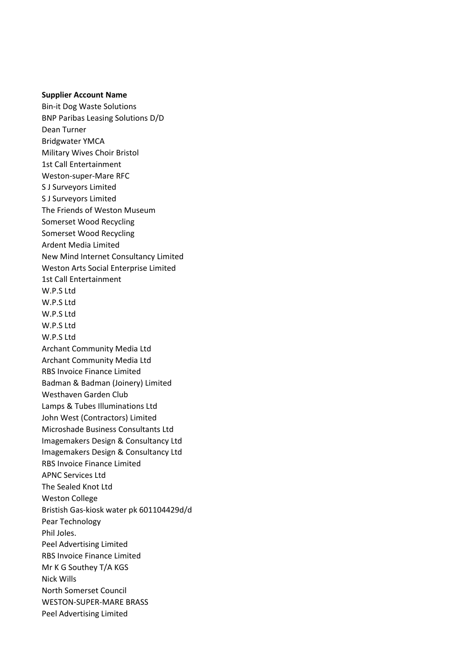## **Supplier Account Name**

Bin-it Dog Waste Solutions BNP Paribas Leasing Solutions D/D Dean Turner Bridgwater YMCA Military Wives Choir Bristol 1st Call Entertainment Weston-super-Mare RFC S J Surveyors Limited S J Surveyors Limited The Friends of Weston Museum Somerset Wood Recycling Somerset Wood Recycling Ardent Media Limited New Mind Internet Consultancy Limited Weston Arts Social Enterprise Limited 1st Call Entertainment W.P.S Ltd W.P.S Ltd W.P.S Ltd W.P.S Ltd W.P.S Ltd Archant Community Media Ltd Archant Community Media Ltd RBS Invoice Finance Limited Badman & Badman (Joinery) Limited Westhaven Garden Club Lamps & Tubes Illuminations Ltd John West (Contractors) Limited Microshade Business Consultants Ltd Imagemakers Design & Consultancy Ltd Imagemakers Design & Consultancy Ltd RBS Invoice Finance Limited APNC Services Ltd The Sealed Knot Ltd Weston College Bristish Gas-kiosk water pk 601104429d/d Pear Technology Phil Joles. Peel Advertising Limited RBS Invoice Finance Limited Mr K G Southey T/A KGS Nick Wills North Somerset Council WESTON-SUPER-MARE BRASS Peel Advertising Limited